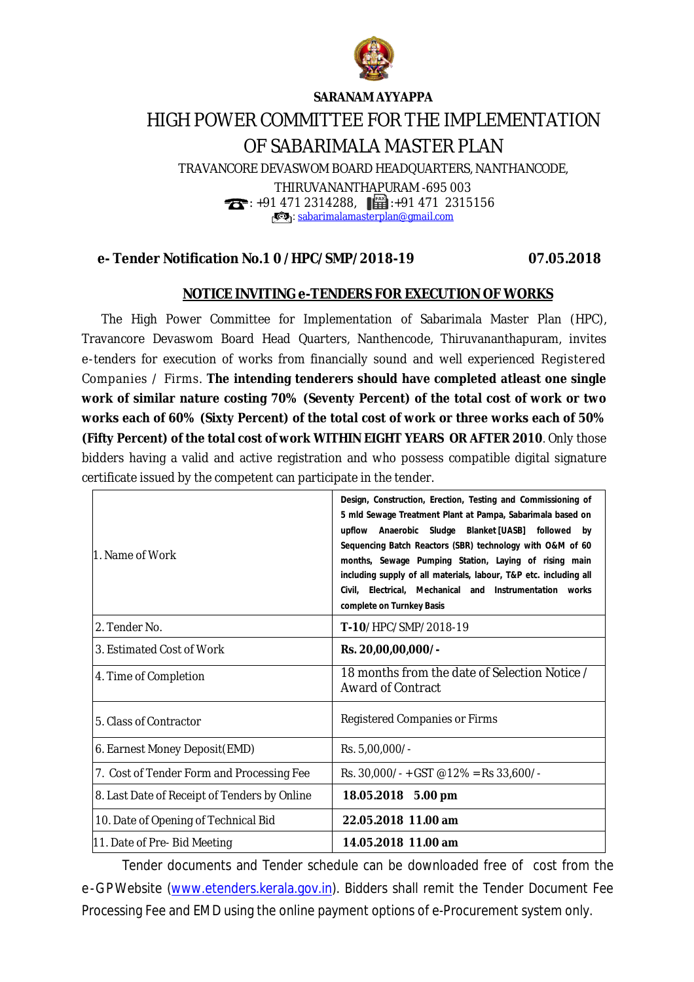

## **SARANAM AYYAPPA**

## HIGH POWER COMMITTEE FOR THE IMPLEMENTATION OF SABARIMALA MASTER PLAN

TRAVANCORE DEVASWOM BOARD HEADQUARTERS, NANTHANCODE,

THIRUVANANTHAPURAM -695 003  $\bullet$ : +91 471 2314288,  $\bullet$  : +91 471 2315156 : [sabarimalamasterplan@gmail.com](mailto:sabarimalamasterplan@gmail.com)

## **e- Tender Notification No.1 0 /HPC/SMP/2018-19 07.05.2018**

## **NOTICE INVITING e-TENDERS FOR EXECUTION OF WORKS**

 The High Power Committee for Implementation of Sabarimala Master Plan (HPC), Travancore Devaswom Board Head Quarters, Nanthencode, Thiruvananthapuram, invites e-tenders for execution of works from financially sound and well experienced Registered Companies / Firms. **The intending tenderers should have completed atleast one single work of similar nature costing 70% (Seventy Percent) of the total cost of work or two works each of 60% (Sixty Percent) of the total cost of work or three works each of 50% (Fifty Percent) of the total cost of work WITHIN EIGHT YEARS OR AFTER 2010**. Only those bidders having a valid and active registration and who possess compatible digital signature certificate issued by the competent can participate in the tender.

| 1. Name of Work                              | Design, Construction, Erection, Testing and Commissioning of<br>5 mld Sewage Treatment Plant at Pampa, Sabarimala based on<br>upflow Anaerobic Sludge Blanket [UASB] followed<br>by<br>Sequencing Batch Reactors (SBR) technology with O&M of 60<br>months, Sewage Pumping Station, Laying of rising main<br>including supply of all materials, labour, T&P etc. including all<br>Civil, Electrical, Mechanical and Instrumentation works<br>complete on Turnkey Basis |
|----------------------------------------------|------------------------------------------------------------------------------------------------------------------------------------------------------------------------------------------------------------------------------------------------------------------------------------------------------------------------------------------------------------------------------------------------------------------------------------------------------------------------|
| 2. Tender No.                                | T-10/HPC/SMP/2018-19                                                                                                                                                                                                                                                                                                                                                                                                                                                   |
| 3. Estimated Cost of Work                    | Rs. 20,00,00,000/-                                                                                                                                                                                                                                                                                                                                                                                                                                                     |
| 4. Time of Completion                        | 18 months from the date of Selection Notice /<br><b>Award of Contract</b>                                                                                                                                                                                                                                                                                                                                                                                              |
| 5. Class of Contractor                       | Registered Companies or Firms                                                                                                                                                                                                                                                                                                                                                                                                                                          |
| 6. Earnest Money Deposit(EMD)                | Rs. 5,00,000/-                                                                                                                                                                                                                                                                                                                                                                                                                                                         |
| 7. Cost of Tender Form and Processing Fee    | Rs. $30,000/ - +$ GST @12% = Rs 33,600/-                                                                                                                                                                                                                                                                                                                                                                                                                               |
| 8. Last Date of Receipt of Tenders by Online | 18.05.2018 5.00 pm                                                                                                                                                                                                                                                                                                                                                                                                                                                     |
| 10. Date of Opening of Technical Bid         | 22.05.2018 11.00 am                                                                                                                                                                                                                                                                                                                                                                                                                                                    |
| 11. Date of Pre- Bid Meeting                 | 14.05.2018 11.00 am                                                                                                                                                                                                                                                                                                                                                                                                                                                    |

Tender documents and Tender schedule can be downloaded free of cost from the e-GPWebsite ([www.etenders.kerala.gov.in\).](http://www.etenders.kerala.gov.in).) Bidders shall remit the Tender Document Fee Processing Fee and EMD using the online payment options of e-Procurement system only.